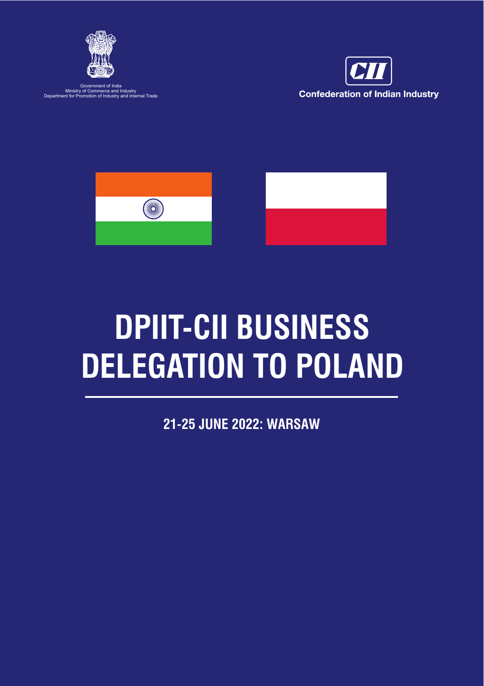

Government of India Ministry of Commerce and Industry Department for Promotion of Industry and Internal Trade





# **DPIIT-CII BUSINESS DELEGATION TO POLAND**

**21-25 JUNE 2022: WARSAW**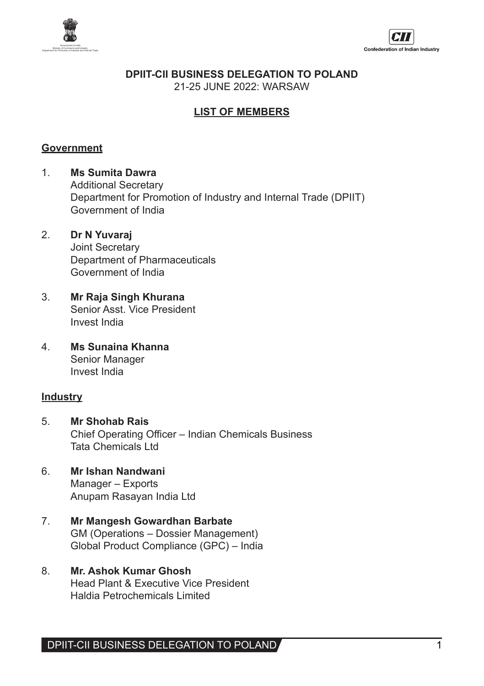



**DPIIT-CII BUSINESS DELEGATION TO POLAND** 

21-25 JUNE 2022: WARSAW

## **LIST OF MEMBERS**

#### **Government**

- 1. **Ms Sumita Dawra** Additional Secretary Department for Promotion of Industry and Internal Trade (DPIIT) Government of India
- 2. **Dr N Yuvaraj** Joint Secretary Department of Pharmaceuticals Government of India
- 3. **Mr Raja Singh Khurana** Senior Asst. Vice President Invest India
- 4. **Ms Sunaina Khanna** Senior Manager Invest India

#### **Industry**

- 5. **Mr Shohab Rais** Chief Operating Officer – Indian Chemicals Business Tata Chemicals Ltd
- 6. **Mr Ishan Nandwani** Manager – Exports Anupam Rasayan India Ltd
- 7. **Mr Mangesh Gowardhan Barbate** GM (Operations – Dossier Management) Global Product Compliance (GPC) – India
- 8. **Mr. Ashok Kumar Ghosh** Head Plant & Executive Vice President Haldia Petrochemicals Limited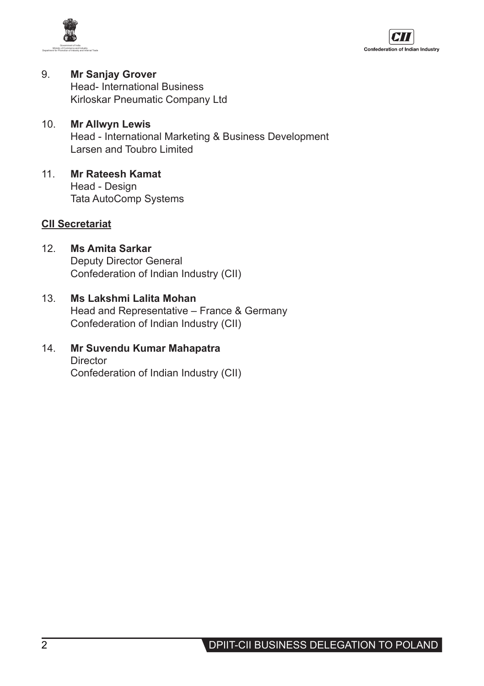



- 9. **Mr Sanjay Grover**  Head- International Business Kirloskar Pneumatic Company Ltd
- 10. **Mr Allwyn Lewis** Head - International Marketing & Business Development Larsen and Toubro Limited
- 11. **Mr Rateesh Kamat** Head - Design Tata AutoComp Systems

## **CII Secretariat**

- 12. **Ms Amita Sarkar** Deputy Director General Confederation of Indian Industry (CII)
- 13. **Ms Lakshmi Lalita Mohan** Head and Representative – France & Germany Confederation of Indian Industry (CII)
- 14. **Mr Suvendu Kumar Mahapatra Director** Confederation of Indian Industry (CII)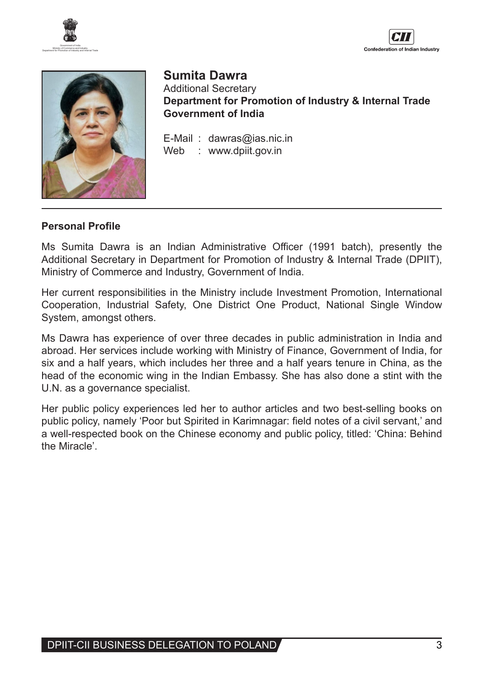





## **Sumita Dawra**

Additional Secretary **Department for Promotion of Industry & Internal Trade Government of India**

E-Mail : dawras@ias.nic.in Web : www.dpiit.gov.in

#### **Personal Profile**

Ms Sumita Dawra is an Indian Administrative Officer (1991 batch), presently the Additional Secretary in Department for Promotion of Industry & Internal Trade (DPIIT), Ministry of Commerce and Industry, Government of India.

Her current responsibilities in the Ministry include Investment Promotion, International Cooperation, Industrial Safety, One District One Product, National Single Window System, amongst others.

Ms Dawra has experience of over three decades in public administration in India and abroad. Her services include working with Ministry of Finance, Government of India, for six and a half years, which includes her three and a half years tenure in China, as the head of the economic wing in the Indian Embassy. She has also done a stint with the U.N. as a governance specialist.

Her public policy experiences led her to author articles and two best-selling books on public policy, namely 'Poor but Spirited in Karimnagar: field notes of a civil servant,' and a well-respected book on the Chinese economy and public policy, titled: 'China: Behind the Miracle'.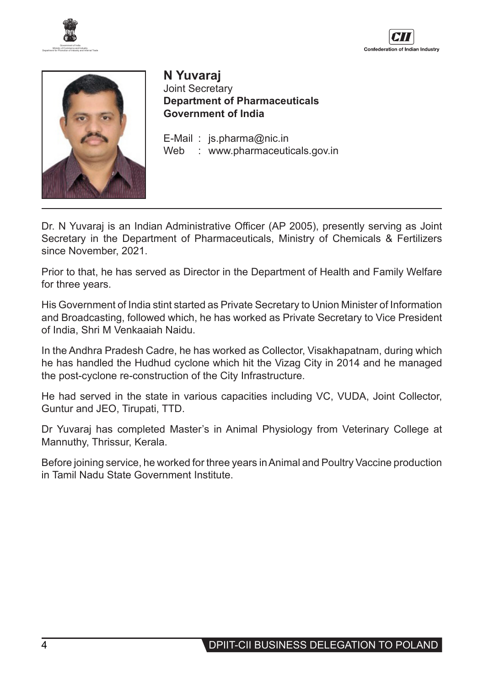





**N Yuvaraj** Joint Secretary **Department of Pharmaceuticals Government of India**

E-Mail : js.pharma@nic.in Web : www.pharmaceuticals.gov.in

Dr. N Yuvaraj is an Indian Administrative Officer (AP 2005), presently serving as Joint Secretary in the Department of Pharmaceuticals, Ministry of Chemicals & Fertilizers since November, 2021.

Prior to that, he has served as Director in the Department of Health and Family Welfare for three years.

His Government of India stint started as Private Secretary to Union Minister of Information and Broadcasting, followed which, he has worked as Private Secretary to Vice President of India, Shri M Venkaaiah Naidu.

In the Andhra Pradesh Cadre, he has worked as Collector, Visakhapatnam, during which he has handled the Hudhud cyclone which hit the Vizag City in 2014 and he managed the post-cyclone re-construction of the City Infrastructure.

He had served in the state in various capacities including VC, VUDA, Joint Collector, Guntur and JEO, Tirupati, TTD.

Dr Yuvaraj has completed Master's in Animal Physiology from Veterinary College at Mannuthy, Thrissur, Kerala.

Before joining service, he worked for three years inAnimal and Poultry Vaccine production in Tamil Nadu State Government Institute.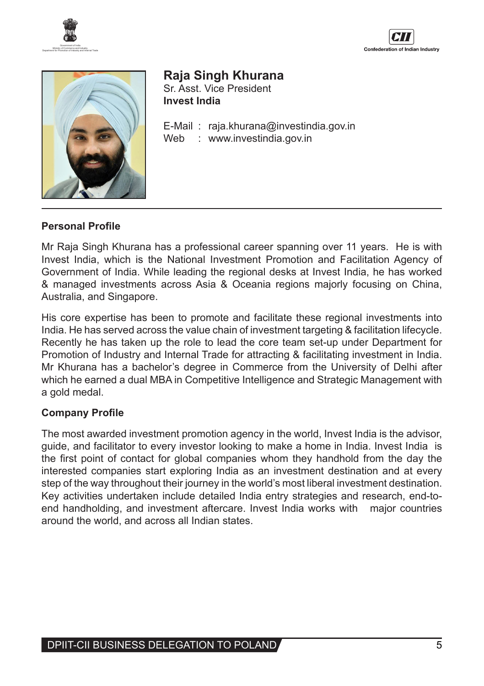





# **Raja Singh Khurana**

Sr. Asst. Vice President **Invest India**

E-Mail : raja.khurana@investindia.gov.in Web : www.investindia.gov.in

## **Personal Profile**

Mr Raja Singh Khurana has a professional career spanning over 11 years. He is with Invest India, which is the National Investment Promotion and Facilitation Agency of Government of India. While leading the regional desks at Invest India, he has worked & managed investments across Asia & Oceania regions majorly focusing on China, Australia, and Singapore.

His core expertise has been to promote and facilitate these regional investments into India. He has served across the value chain of investment targeting & facilitation lifecycle. Recently he has taken up the role to lead the core team set-up under Department for Promotion of Industry and Internal Trade for attracting & facilitating investment in India. Mr Khurana has a bachelor's degree in Commerce from the University of Delhi after which he earned a dual MBA in Competitive Intelligence and Strategic Management with a gold medal.

## **Company Profile**

The most awarded investment promotion agency in the world, Invest India is the advisor, guide, and facilitator to every investor looking to make a home in India. Invest India is the first point of contact for global companies whom they handhold from the day the interested companies start exploring India as an investment destination and at every step of the way throughout their journey in the world's most liberal investment destination. Key activities undertaken include detailed India entry strategies and research, end-toend handholding, and investment aftercare. Invest India works with major countries around the world, and across all Indian states.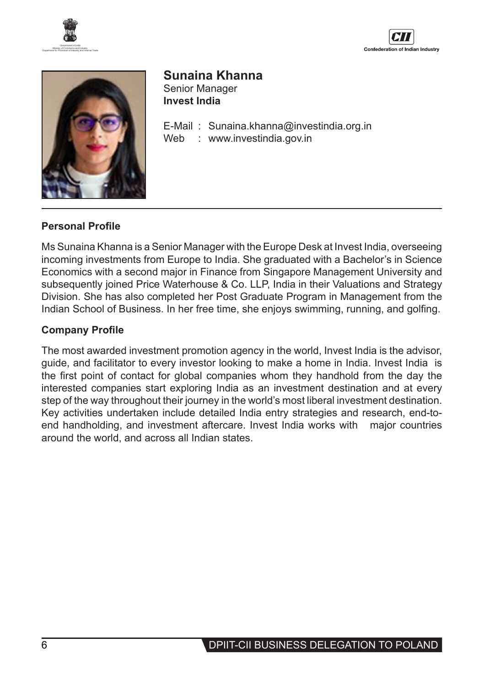





# **Sunaina Khanna**

Senior Manager **Invest India**

E-Mail : Sunaina.khanna@investindia.org.in : www.investindia.gov.in

## **Personal Profile**

Ms Sunaina Khanna is a Senior Manager with the Europe Desk at Invest India, overseeing incoming investments from Europe to India. She graduated with a Bachelor's in Science Economics with a second major in Finance from Singapore Management University and subsequently joined Price Waterhouse & Co. LLP, India in their Valuations and Strategy Division. She has also completed her Post Graduate Program in Management from the Indian School of Business. In her free time, she enjoys swimming, running, and golfing.

## **Company Profile**

The most awarded investment promotion agency in the world, Invest India is the advisor, guide, and facilitator to every investor looking to make a home in India. Invest India is the first point of contact for global companies whom they handhold from the day the interested companies start exploring India as an investment destination and at every step of the way throughout their journey in the world's most liberal investment destination. Key activities undertaken include detailed India entry strategies and research, end-toend handholding, and investment aftercare. Invest India works with major countries around the world, and across all Indian states.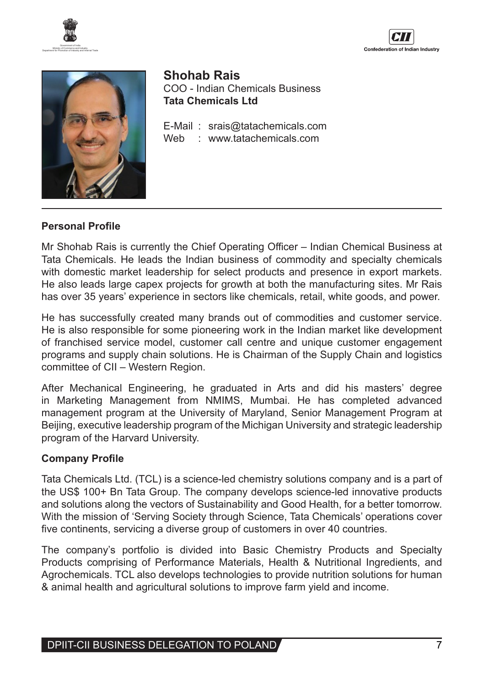





**Shohab Rais**  COO - Indian Chemicals Business **Tata Chemicals Ltd**

E-Mail: srais@tatachemicals.com<br>Web: www.tatachemicals.com Web : www.tatachemicals.com

#### **Personal Profile**

Mr Shohab Rais is currently the Chief Operating Officer – Indian Chemical Business at Tata Chemicals. He leads the Indian business of commodity and specialty chemicals with domestic market leadership for select products and presence in export markets. He also leads large capex projects for growth at both the manufacturing sites. Mr Rais has over 35 years' experience in sectors like chemicals, retail, white goods, and power.

He has successfully created many brands out of commodities and customer service. He is also responsible for some pioneering work in the Indian market like development of franchised service model, customer call centre and unique customer engagement programs and supply chain solutions. He is Chairman of the Supply Chain and logistics committee of CII – Western Region.

After Mechanical Engineering, he graduated in Arts and did his masters' degree in Marketing Management from NMIMS, Mumbai. He has completed advanced management program at the University of Maryland, Senior Management Program at Beijing, executive leadership program of the Michigan University and strategic leadership program of the Harvard University.

## **Company Profile**

Tata Chemicals Ltd. (TCL) is a science-led chemistry solutions company and is a part of the US\$ 100+ Bn Tata Group. The company develops science-led innovative products and solutions along the vectors of Sustainability and Good Health, for a better tomorrow. With the mission of 'Serving Society through Science, Tata Chemicals' operations cover five continents, servicing a diverse group of customers in over 40 countries.

The company's portfolio is divided into Basic Chemistry Products and Specialty Products comprising of Performance Materials, Health & Nutritional Ingredients, and Agrochemicals. TCL also develops technologies to provide nutrition solutions for human & animal health and agricultural solutions to improve farm yield and income.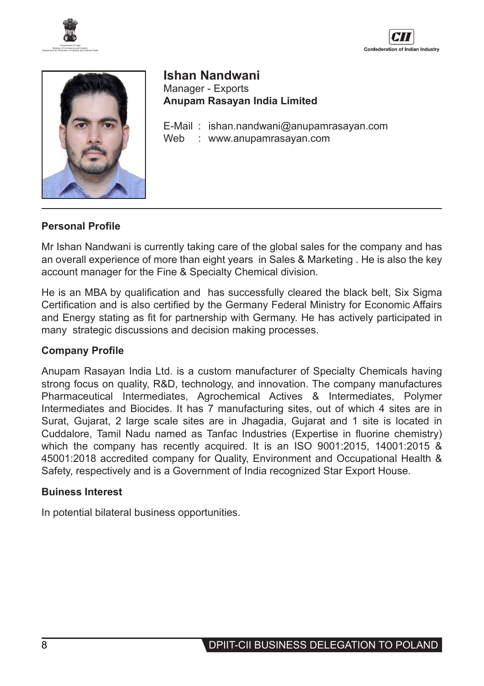

Confederation of Indian Industry





**Ishan Nandwani** Manager - Exports **Anupam Rasayan India Limited**

E-Mail : ishan.nandwani@anupamrasayan.com Web : www.anupamrasayan.com

#### **Personal Profile**

Mr Ishan Nandwani is currently taking care of the global sales for the company and has an overall experience of more than eight years in Sales & Marketing . He is also the key account manager for the Fine & Specialty Chemical division.

He is an MBA by qualification and has successfully cleared the black belt, Six Sigma Certification and is also certified by the Germany Federal Ministry for Economic Affairs and Energy stating as fit for partnership with Germany. He has actively participated in many strategic discussions and decision making processes.

#### **Company Profile**

Anupam Rasayan India Ltd. is a custom manufacturer of Specialty Chemicals having strong focus on quality, R&D, technology, and innovation. The company manufactures Pharmaceutical Intermediates, Agrochemical Actives & Intermediates, Polymer Intermediates and Biocides. It has 7 manufacturing sites, out of which 4 sites are in Surat, Gujarat, 2 large scale sites are in Jhagadia, Gujarat and 1 site is located in Cuddalore, Tamil Nadu named as Tanfac Industries (Expertise in fluorine chemistry) which the company has recently acquired. It is an ISO 9001:2015, 14001:2015 & 45001:2018 accredited company for Quality, Environment and Occupational Health & Safety, respectively and is a Government of India recognized Star Export House.

#### **Buiness Interest**

In potential bilateral business opportunities.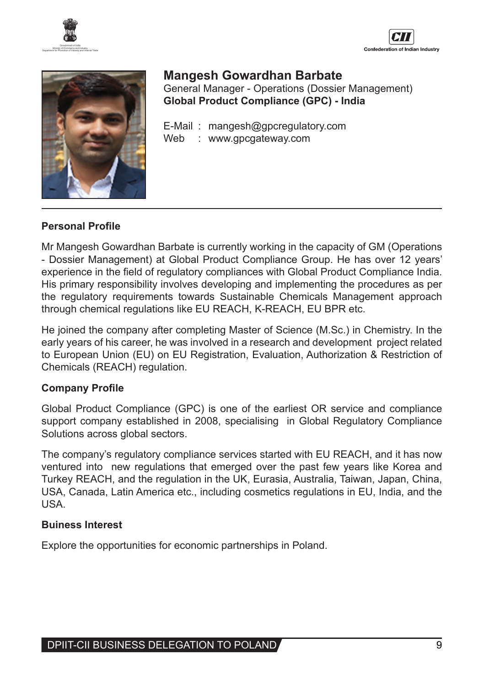





## **Mangesh Gowardhan Barbate** General Manager - Operations (Dossier Management) **Global Product Compliance (GPC) - India**

E-Mail : mangesh@gpcregulatory.com Web : www.gpcgateway.com

#### **Personal Profile**

Mr Mangesh Gowardhan Barbate is currently working in the capacity of GM (Operations - Dossier Management) at Global Product Compliance Group. He has over 12 years' experience in the field of regulatory compliances with Global Product Compliance India. His primary responsibility involves developing and implementing the procedures as per the regulatory requirements towards Sustainable Chemicals Management approach through chemical regulations like EU REACH, K-REACH, EU BPR etc.

He joined the company after completing Master of Science (M.Sc.) in Chemistry. In the early years of his career, he was involved in a research and development project related to European Union (EU) on EU Registration, Evaluation, Authorization & Restriction of Chemicals (REACH) regulation.

## **Company Profile**

Global Product Compliance (GPC) is one of the earliest OR service and compliance support company established in 2008, specialising in Global Regulatory Compliance Solutions across global sectors.

The company's regulatory compliance services started with EU REACH, and it has now ventured into new regulations that emerged over the past few years like Korea and Turkey REACH, and the regulation in the UK, Eurasia, Australia, Taiwan, Japan, China, USA, Canada, Latin America etc., including cosmetics regulations in EU, India, and the USA.

## **Buiness Interest**

Explore the opportunities for economic partnerships in Poland.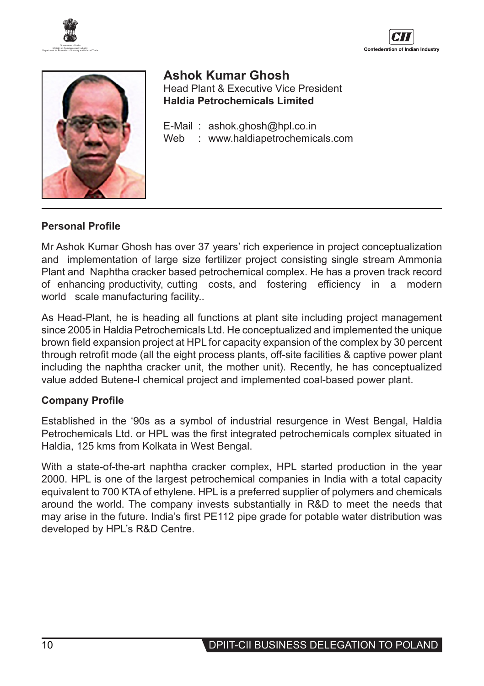





**Ashok Kumar Ghosh**  Head Plant & Executive Vice President **Haldia Petrochemicals Limited**

E-Mail : ashok.ghosh@hpl.co.in Web : www.haldiapetrochemicals.com

#### **Personal Profile**

Mr Ashok Kumar Ghosh has over 37 years' rich experience in project conceptualization and implementation of large size fertilizer project consisting single stream Ammonia Plant and Naphtha cracker based petrochemical complex. He has a proven track record of enhancing productivity, cutting costs, and fostering efficiency in a modern world scale manufacturing facility..

As Head-Plant, he is heading all functions at plant site including project management since 2005 in Haldia Petrochemicals Ltd. He conceptualized and implemented the unique brown field expansion project at HPL for capacity expansion of the complex by 30 percent through retrofit mode (all the eight process plants, off-site facilities & captive power plant including the naphtha cracker unit, the mother unit). Recently, he has conceptualized value added Butene-I chemical project and implemented coal-based power plant.

## **Company Profile**

Established in the '90s as a symbol of industrial resurgence in West Bengal, Haldia Petrochemicals Ltd. or HPL was the first integrated petrochemicals complex situated in Haldia, 125 kms from Kolkata in West Bengal.

With a state-of-the-art naphtha cracker complex, HPL started production in the year 2000. HPL is one of the largest petrochemical companies in India with a total capacity equivalent to 700 KTA of ethylene. HPL is a preferred supplier of polymers and chemicals around the world. The company invests substantially in R&D to meet the needs that may arise in the future. India's first PE112 pipe grade for potable water distribution was developed by HPL's R&D Centre.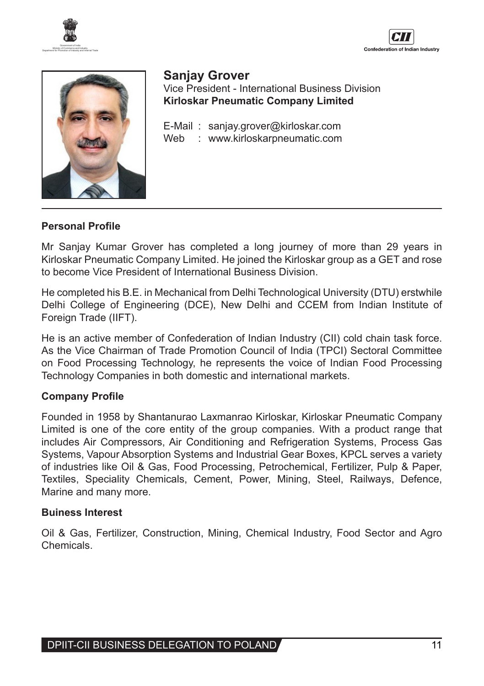





## **Sanjay Grover**

Vice President - International Business Division **Kirloskar Pneumatic Company Limited**

E-Mail : sanjay.grover@kirloskar.com Web : www.kirloskarpneumatic.com

#### **Personal Profile**

Mr Sanjay Kumar Grover has completed a long journey of more than 29 years in Kirloskar Pneumatic Company Limited. He joined the Kirloskar group as a GET and rose to become Vice President of International Business Division.

He completed his B.E. in Mechanical from Delhi Technological University (DTU) erstwhile Delhi College of Engineering (DCE), New Delhi and CCEM from Indian Institute of Foreign Trade (IIFT).

He is an active member of Confederation of Indian Industry (CII) cold chain task force. As the Vice Chairman of Trade Promotion Council of India (TPCI) Sectoral Committee on Food Processing Technology, he represents the voice of Indian Food Processing Technology Companies in both domestic and international markets.

## **Company Profile**

Founded in 1958 by Shantanurao Laxmanrao Kirloskar, Kirloskar Pneumatic Company Limited is one of the core entity of the group companies. With a product range that includes Air Compressors, Air Conditioning and Refrigeration Systems, Process Gas Systems, Vapour Absorption Systems and Industrial Gear Boxes, KPCL serves a variety of industries like Oil & Gas, Food Processing, Petrochemical, Fertilizer, Pulp & Paper, Textiles, Speciality Chemicals, Cement, Power, Mining, Steel, Railways, Defence, Marine and many more.

#### **Buiness Interest**

Oil & Gas, Fertilizer, Construction, Mining, Chemical Industry, Food Sector and Agro Chemicals.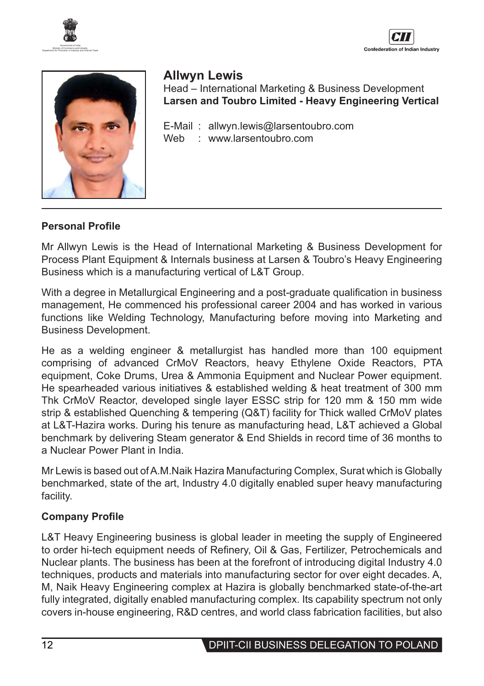





# **Allwyn Lewis**

Head – International Marketing & Business Development **Larsen and Toubro Limited - Heavy Engineering Vertical**

E-Mail : allwyn.lewis@larsentoubro.com Web : www.larsentoubro.com

## **Personal Profile**

Mr Allwyn Lewis is the Head of International Marketing & Business Development for Process Plant Equipment & Internals business at Larsen & Toubro's Heavy Engineering Business which is a manufacturing vertical of L&T Group.

With a degree in Metallurgical Engineering and a post-graduate qualification in business management, He commenced his professional career 2004 and has worked in various functions like Welding Technology, Manufacturing before moving into Marketing and Business Development.

He as a welding engineer & metallurgist has handled more than 100 equipment comprising of advanced CrMoV Reactors, heavy Ethylene Oxide Reactors, PTA equipment, Coke Drums, Urea & Ammonia Equipment and Nuclear Power equipment. He spearheaded various initiatives & established welding & heat treatment of 300 mm Thk CrMoV Reactor, developed single layer ESSC strip for 120 mm & 150 mm wide strip & established Quenching & tempering (Q&T) facility for Thick walled CrMoV plates at L&T-Hazira works. During his tenure as manufacturing head, L&T achieved a Global benchmark by delivering Steam generator & End Shields in record time of 36 months to a Nuclear Power Plant in India.

Mr Lewis is based out ofA.M.Naik Hazira Manufacturing Complex, Surat which is Globally benchmarked, state of the art, Industry 4.0 digitally enabled super heavy manufacturing facility.

## **Company Profile**

L&T Heavy Engineering business is global leader in meeting the supply of Engineered to order hi-tech equipment needs of Refinery, Oil & Gas, Fertilizer, Petrochemicals and Nuclear plants. The business has been at the forefront of introducing digital Industry 4.0 techniques, products and materials into manufacturing sector for over eight decades. A, M, Naik Heavy Engineering complex at Hazira is globally benchmarked state-of-the-art fully integrated, digitally enabled manufacturing complex. Its capability spectrum not only covers in-house engineering, R&D centres, and world class fabrication facilities, but also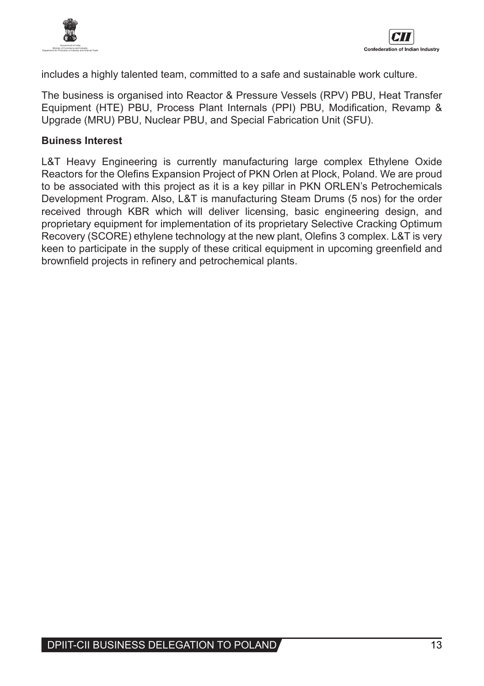

includes a highly talented team, committed to a safe and sustainable work culture.

The business is organised into Reactor & Pressure Vessels (RPV) PBU, Heat Transfer Equipment (HTE) PBU, Process Plant Internals (PPI) PBU, Modification, Revamp & Upgrade (MRU) PBU, Nuclear PBU, and Special Fabrication Unit (SFU).

## **Buiness Interest**

L&T Heavy Engineering is currently manufacturing large complex Ethylene Oxide Reactors for the Olefins Expansion Project of PKN Orlen at Plock, Poland. We are proud to be associated with this project as it is a key pillar in PKN ORLEN's Petrochemicals Development Program. Also, L&T is manufacturing Steam Drums (5 nos) for the order received through KBR which will deliver licensing, basic engineering design, and proprietary equipment for implementation of its proprietary Selective Cracking Optimum Recovery (SCORE) ethylene technology at the new plant, Olefins 3 complex. L&T is very keen to participate in the supply of these critical equipment in upcoming greenfield and brownfield projects in refinery and petrochemical plants.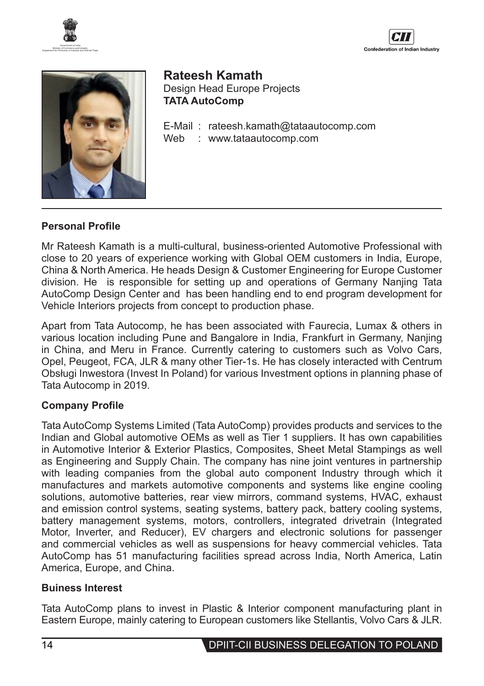





**Rateesh Kamath** Design Head Europe Projects **TATA AutoComp**

E-Mail : rateesh.kamath@tataautocomp.com Web : www.tataautocomp.com

#### **Personal Profile**

Mr Rateesh Kamath is a multi-cultural, business-oriented Automotive Professional with close to 20 years of experience working with Global OEM customers in India, Europe, China & North America. He heads Design & Customer Engineering for Europe Customer division. He is responsible for setting up and operations of Germany Nanjing Tata AutoComp Design Center and has been handling end to end program development for Vehicle Interiors projects from concept to production phase.

Apart from Tata Autocomp, he has been associated with Faurecia, Lumax & others in various location including Pune and Bangalore in India, Frankfurt in Germany, Nanjing in China, and Meru in France. Currently catering to customers such as Volvo Cars, Opel, Peugeot, FCA, JLR & many other Tier-1s. He has closely interacted with Centrum Obsługi Inwestora (Invest In Poland) for various Investment options in planning phase of Tata Autocomp in 2019.

#### **Company Profile**

Tata AutoComp Systems Limited (Tata AutoComp) provides products and services to the Indian and Global automotive OEMs as well as Tier 1 suppliers. It has own capabilities in Automotive Interior & Exterior Plastics, Composites, Sheet Metal Stampings as well as Engineering and Supply Chain. The company has nine joint ventures in partnership with leading companies from the global auto component Industry through which it manufactures and markets automotive components and systems like engine cooling solutions, automotive batteries, rear view mirrors, command systems, HVAC, exhaust and emission control systems, seating systems, battery pack, battery cooling systems, battery management systems, motors, controllers, integrated drivetrain (Integrated Motor, Inverter, and Reducer), EV chargers and electronic solutions for passenger and commercial vehicles as well as suspensions for heavy commercial vehicles. Tata AutoComp has 51 manufacturing facilities spread across India, North America, Latin America, Europe, and China.

#### **Buiness Interest**

Tata AutoComp plans to invest in Plastic & Interior component manufacturing plant in Eastern Europe, mainly catering to European customers like Stellantis, Volvo Cars & JLR.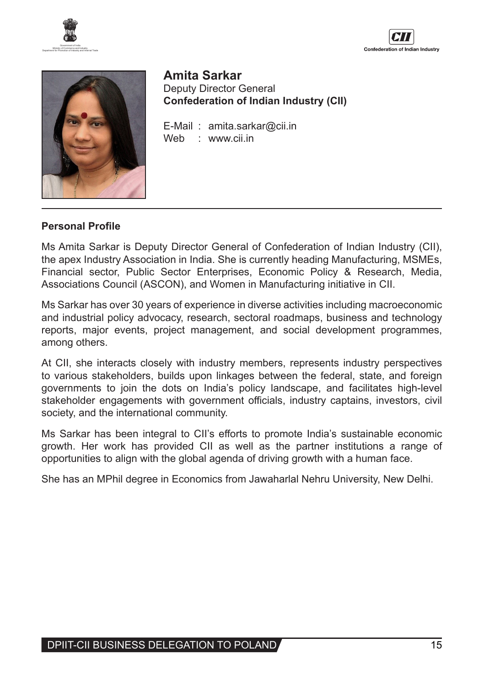





**Amita Sarkar** Deputy Director General **Confederation of Indian Industry (CII)**

E-Mail : amita.sarkar@cii.in Web : www.cii.in

#### **Personal Profile**

Ms Amita Sarkar is Deputy Director General of Confederation of Indian Industry (CII), the apex Industry Association in India. She is currently heading Manufacturing, MSMEs, Financial sector, Public Sector Enterprises, Economic Policy & Research, Media, Associations Council (ASCON), and Women in Manufacturing initiative in CII.

Ms Sarkar has over 30 years of experience in diverse activities including macroeconomic and industrial policy advocacy, research, sectoral roadmaps, business and technology reports, major events, project management, and social development programmes, among others.

At CII, she interacts closely with industry members, represents industry perspectives to various stakeholders, builds upon linkages between the federal, state, and foreign governments to join the dots on India's policy landscape, and facilitates high-level stakeholder engagements with government officials, industry captains, investors, civil society, and the international community.

Ms Sarkar has been integral to CII's efforts to promote India's sustainable economic growth. Her work has provided CII as well as the partner institutions a range of opportunities to align with the global agenda of driving growth with a human face.

She has an MPhil degree in Economics from Jawaharlal Nehru University, New Delhi.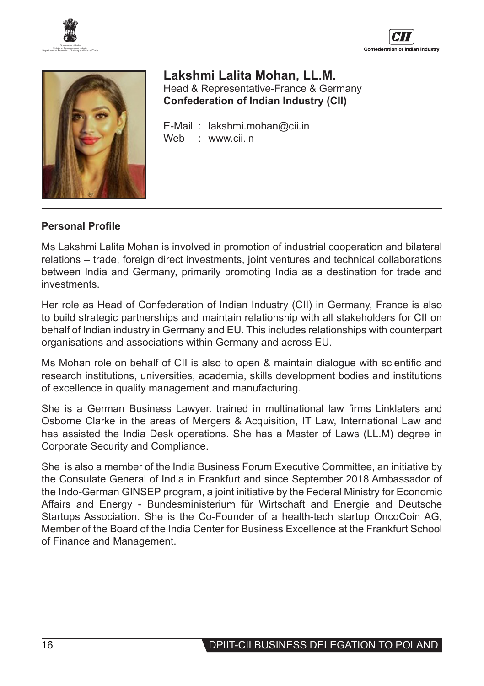





## **Lakshmi Lalita Mohan, LL.M.** Head & Representative-France & Germany **Confederation of Indian Industry (CII)**

E-Mail : lakshmi.mohan@cii.in<br>Web : www.cii.in Web : www.cii.in

## **Personal Profile**

Ms Lakshmi Lalita Mohan is involved in promotion of industrial cooperation and bilateral relations – trade, foreign direct investments, joint ventures and technical collaborations between India and Germany, primarily promoting India as a destination for trade and investments.

Her role as Head of Confederation of Indian Industry (CII) in Germany, France is also to build strategic partnerships and maintain relationship with all stakeholders for CII on behalf of Indian industry in Germany and EU. This includes relationships with counterpart organisations and associations within Germany and across EU.

Ms Mohan role on behalf of CII is also to open & maintain dialogue with scientific and research institutions, universities, academia, skills development bodies and institutions of excellence in quality management and manufacturing.

She is a German Business Lawyer. trained in multinational law firms Linklaters and Osborne Clarke in the areas of Mergers & Acquisition, IT Law, International Law and has assisted the India Desk operations. She has a Master of Laws (LL.M) degree in Corporate Security and Compliance.

She is also a member of the India Business Forum Executive Committee, an initiative by the Consulate General of India in Frankfurt and since September 2018 Ambassador of the Indo-German GINSEP program, a joint initiative by the Federal Ministry for Economic Affairs and Energy - Bundesministerium für Wirtschaft and Energie and Deutsche Startups Association. She is the Co-Founder of a health-tech startup OncoCoin AG, Member of the Board of the India Center for Business Excellence at the Frankfurt School of Finance and Management.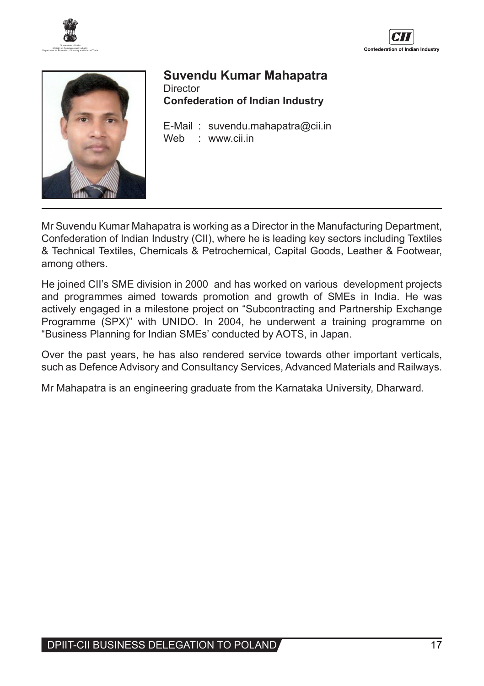





## **Suvendu Kumar Mahapatra Director Confederation of Indian Industry**

E-Mail : suvendu.mahapatra@cii.in<br>Web : www.cii.in Web : www.cii.in

Mr Suvendu Kumar Mahapatra is working as a Director in the Manufacturing Department, Confederation of Indian Industry (CII), where he is leading key sectors including Textiles & Technical Textiles, Chemicals & Petrochemical, Capital Goods, Leather & Footwear, among others.

He joined CII's SME division in 2000 and has worked on various development projects and programmes aimed towards promotion and growth of SMEs in India. He was actively engaged in a milestone project on "Subcontracting and Partnership Exchange Programme (SPX)" with UNIDO. In 2004, he underwent a training programme on "Business Planning for Indian SMEs' conducted by AOTS, in Japan.

Over the past years, he has also rendered service towards other important verticals, such as Defence Advisory and Consultancy Services, Advanced Materials and Railways.

Mr Mahapatra is an engineering graduate from the Karnataka University, Dharward.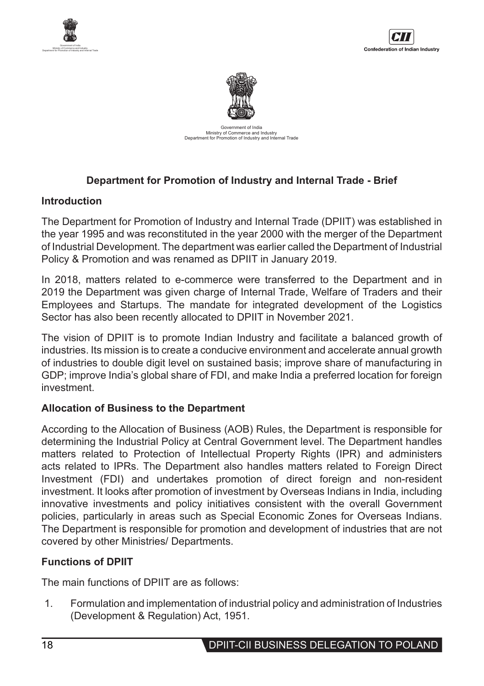





Government of India Ministry of Commerce and Industry Department for Promotion of Industry and Internal Trade

## **Department for Promotion of Industry and Internal Trade - Brief**

#### **Introduction**

The Department for Promotion of Industry and Internal Trade (DPIIT) was established in the year 1995 and was reconstituted in the year 2000 with the merger of the Department of Industrial Development. The department was earlier called the Department of Industrial Policy & Promotion and was renamed as DPIIT in January 2019.

In 2018, matters related to e-commerce were transferred to the Department and in 2019 the Department was given charge of Internal Trade, Welfare of Traders and their Employees and Startups. The mandate for integrated development of the Logistics Sector has also been recently allocated to DPIIT in November 2021.

The vision of DPIIT is to promote Indian Industry and facilitate a balanced growth of industries. Its mission is to create a conducive environment and accelerate annual growth of industries to double digit level on sustained basis; improve share of manufacturing in GDP; improve India's global share of FDI, and make India a preferred location for foreign investment.

## **Allocation of Business to the Department**

According to the Allocation of Business (AOB) Rules, the Department is responsible for determining the Industrial Policy at Central Government level. The Department handles matters related to Protection of Intellectual Property Rights (IPR) and administers acts related to IPRs. The Department also handles matters related to Foreign Direct Investment (FDI) and undertakes promotion of direct foreign and non-resident investment. It looks after promotion of investment by Overseas Indians in India, including innovative investments and policy initiatives consistent with the overall Government policies, particularly in areas such as Special Economic Zones for Overseas Indians. The Department is responsible for promotion and development of industries that are not covered by other Ministries/ Departments.

## **Functions of DPIIT**

The main functions of DPIIT are as follows:

1. Formulation and implementation of industrial policy and administration of Industries (Development & Regulation) Act, 1951.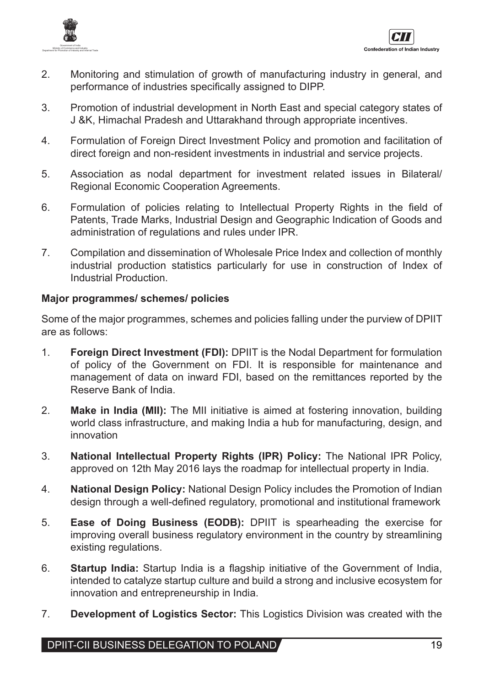

- 2. Monitoring and stimulation of growth of manufacturing industry in general, and performance of industries specifically assigned to DIPP.
- 3. Promotion of industrial development in North East and special category states of J &K, Himachal Pradesh and Uttarakhand through appropriate incentives.
- 4. Formulation of Foreign Direct Investment Policy and promotion and facilitation of direct foreign and non-resident investments in industrial and service projects.
- 5. Association as nodal department for investment related issues in Bilateral/ Regional Economic Cooperation Agreements.
- 6. Formulation of policies relating to Intellectual Property Rights in the field of Patents, Trade Marks, Industrial Design and Geographic Indication of Goods and administration of regulations and rules under IPR.
- 7. Compilation and dissemination of Wholesale Price Index and collection of monthly industrial production statistics particularly for use in construction of Index of Industrial Production.

## **Major programmes/ schemes/ policies**

Some of the major programmes, schemes and policies falling under the purview of DPIIT are as follows:

- 1. **Foreign Direct Investment (FDI):** DPIIT is the Nodal Department for formulation of policy of the Government on FDI. It is responsible for maintenance and management of data on inward FDI, based on the remittances reported by the Reserve Bank of India.
- 2. **Make in India (MII):** The MII initiative is aimed at fostering innovation, building world class infrastructure, and making India a hub for manufacturing, design, and innovation
- 3. **National Intellectual Property Rights (IPR) Policy:** The National IPR Policy, approved on 12th May 2016 lays the roadmap for intellectual property in India.
- 4. **National Design Policy:** National Design Policy includes the Promotion of Indian design through a well-defined regulatory, promotional and institutional framework
- 5. **Ease of Doing Business (EODB):** DPIIT is spearheading the exercise for improving overall business regulatory environment in the country by streamlining existing regulations.
- 6. **Startup India:** Startup India is a flagship initiative of the Government of India, intended to catalyze startup culture and build a strong and inclusive ecosystem for innovation and entrepreneurship in India.
- 7. **Development of Logistics Sector:** This Logistics Division was created with the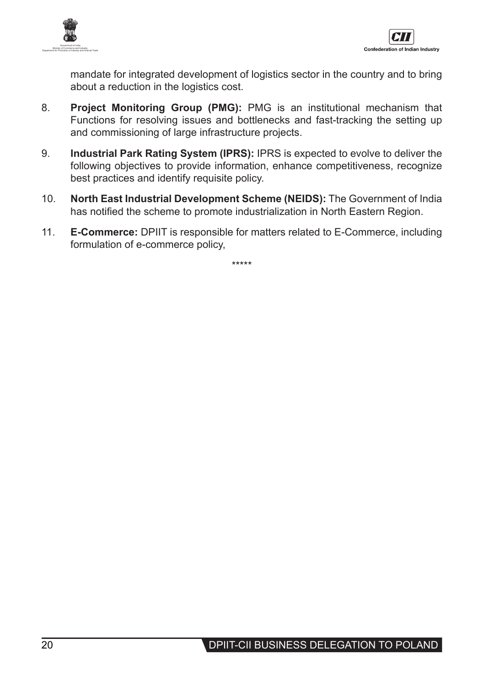



mandate for integrated development of logistics sector in the country and to bring about a reduction in the logistics cost.

- 8. **Project Monitoring Group (PMG):** PMG is an institutional mechanism that Functions for resolving issues and bottlenecks and fast-tracking the setting up and commissioning of large infrastructure projects.
- 9. **Industrial Park Rating System (IPRS):** IPRS is expected to evolve to deliver the following objectives to provide information, enhance competitiveness, recognize best practices and identify requisite policy.
- 10. **North East Industrial Development Scheme (NEIDS):** The Government of India has notified the scheme to promote industrialization in North Eastern Region.
- 11. **E-Commerce:** DPIIT is responsible for matters related to E-Commerce, including formulation of e-commerce policy,

\*\*\*\*\*